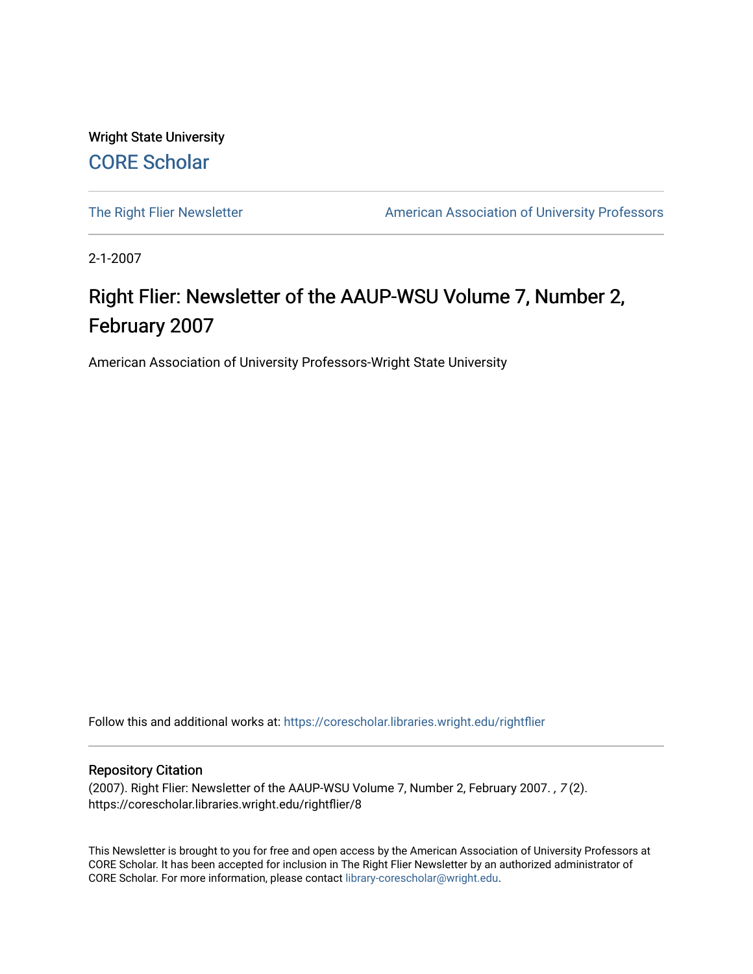Wright State University [CORE Scholar](https://corescholar.libraries.wright.edu/)

[The Right Flier Newsletter](https://corescholar.libraries.wright.edu/rightflier) **American Association of University Professors** 

2-1-2007

### Right Flier: Newsletter of the AAUP-WSU Volume 7, Number 2, February 2007

American Association of University Professors-Wright State University

Follow this and additional works at: [https://corescholar.libraries.wright.edu/rightflier](https://corescholar.libraries.wright.edu/rightflier?utm_source=corescholar.libraries.wright.edu%2Frightflier%2F8&utm_medium=PDF&utm_campaign=PDFCoverPages) 

#### Repository Citation

(2007). Right Flier: Newsletter of the AAUP-WSU Volume 7, Number 2, February 2007. , 7 (2). https://corescholar.libraries.wright.edu/rightflier/8

This Newsletter is brought to you for free and open access by the American Association of University Professors at CORE Scholar. It has been accepted for inclusion in The Right Flier Newsletter by an authorized administrator of CORE Scholar. For more information, please contact [library-corescholar@wright.edu](mailto:library-corescholar@wright.edu).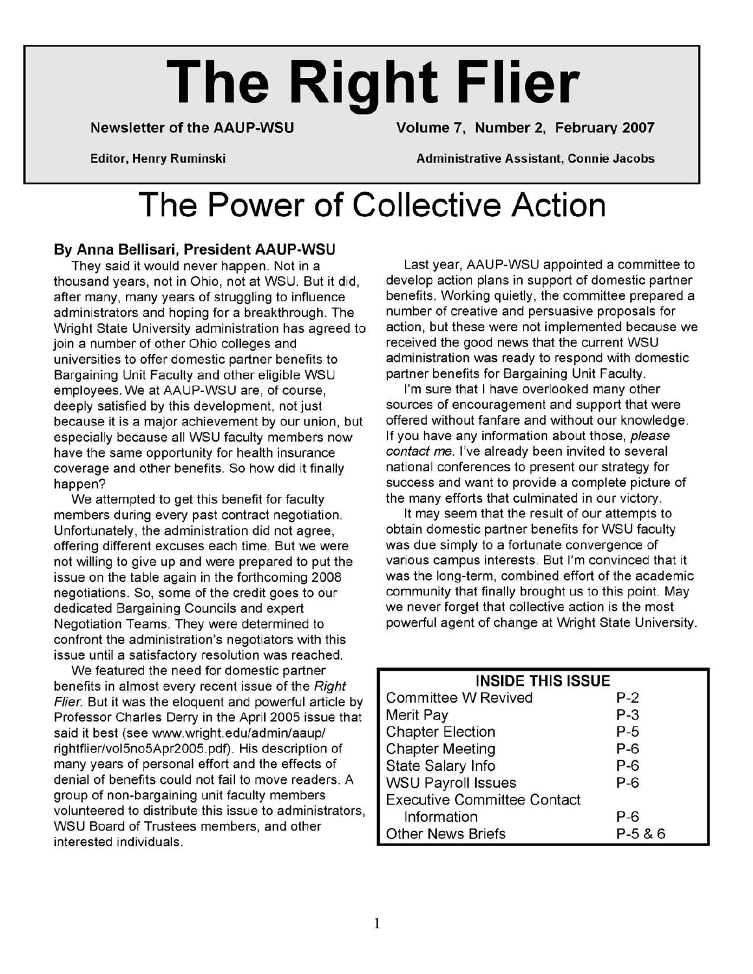# **The Right Flier**

Newsletter of the AAUP-WSU Volume 7, Number 2, February 2007

Editor, Henry Ruminski Administrative Assistant, Connie Jacobs

# **The Power of Collective Action**

#### By Anna Bellisari, President AAUP-WSU

They said it would never happen. Not in a thousand years, not in Ohio, not at WSU. But it did, after many, many years of struggling to influence administrators and hoping for a breakthrough. The Wright State University administration has agreed to join a number of other Ohio colleges and universities to offer domestic partner benefits to Bargaining Unit Faculty and other eligible WSU employees. We at AAUP-WSU are, of course, deeply satisfied by this development, not just because it is a major achievement by our union, but especially because all WSU faculty members now have the same opportunity for health insurance coverage and other benefits. So how did it finally happen?

We attempted to get this benefit for faculty members during every past contract negotiation. Unfortunately, the administration did not agree, offering different excuses each time. But we were not willing to give up and were prepared to put the issue on the table again in the forthcoming 2008 negotiations. So, some of the credit goes to our dedicated Bargaining Councils and expert Negotiation Teams. They were determined to confront the administration's negotiators with this issue until a satisfactory resolution was reached.

We featured the need for domestic partner benefits in almost every recent issue of the Right Flier. But it was the eloquent and powerful article by Professor Charles Derry in the April 2005 issue that said it best (see www.wright.edu/admin/aaup/ rightflier/voI5n05Apr2005.pdf). His description of many years of personal effort and the effects of denial of benefits could not fail to move readers. A group of non-bargaining unit faculty members volunteered to distribute this issue to administrators, WSU Board of Trustees members, and other interested individuals.

Last year, AAUP-WSU appointed a committee to develop action plans in support of domestic partner benefits. Working quietly, the committee prepared a number of creative and persuasive proposals for action, but these were not implemented because we received the good news that the current WSU administration was ready to respond with domestic partner benefits for Bargaining Unit Faculty.

I'm sure that I have overlooked many other sources of encouragement and support that were offered without fanfare and without our knowledge. If you have any information about those, please contact me. I've already been invited to several national conferences to present our strategy for success and want to provide a complete picture of the many efforts that culminated in our victory.

It may seem that the result of our attempts to obtain domestic partner benefits for WSU faculty was due simply to a fortunate convergence of various campus interests. But I'm convinced that it was the long-term, combined effort of the academic community that finally brought us to this point. May we never forget that collective action is the most powerful agent of change at Wright State University.

| <b>INSIDE THIS ISSUE</b>           |            |  |
|------------------------------------|------------|--|
| <b>Committee W Revived</b>         | P-2        |  |
| <b>Merit Pay</b>                   | P-3        |  |
| <b>Chapter Election</b>            | $P-5$      |  |
| <b>Chapter Meeting</b>             | $P-6$      |  |
| State Salary Info                  | $P-6$      |  |
| <b>WSU Payroll Issues</b>          | $P-6$      |  |
| <b>Executive Committee Contact</b> |            |  |
| Information                        | $P-6$      |  |
| <b>Other News Briefs</b>           | $P-5 & 86$ |  |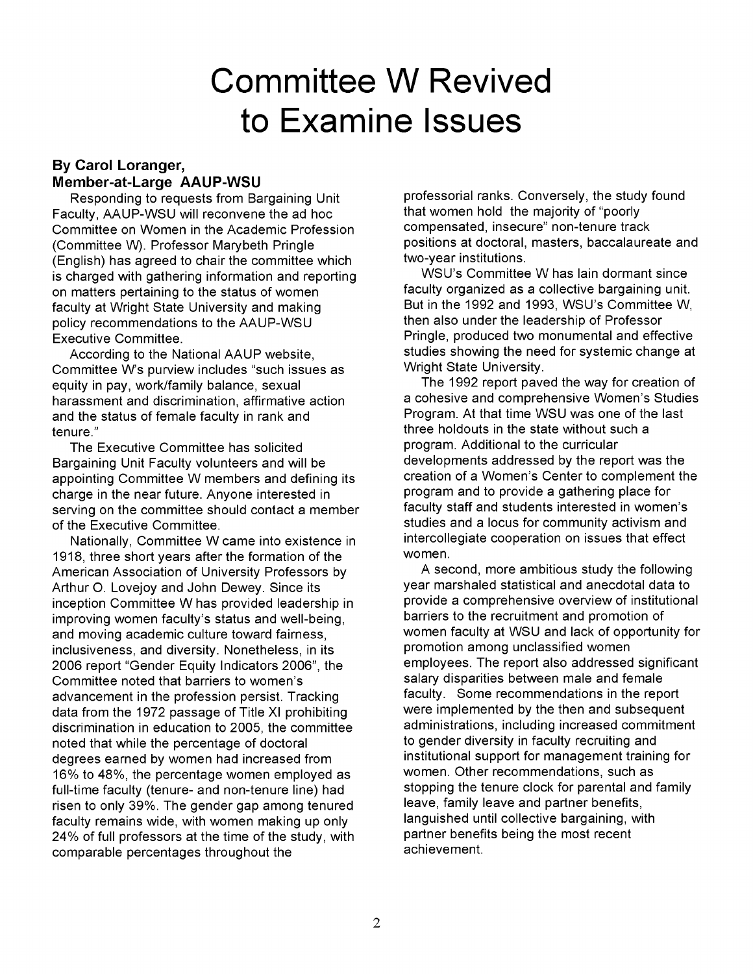### **Committee W Revived to Examine Issues**

#### **By Carol Loranger, Member-at-Large AAUP-WSU**

Responding to requests from Bargaining Unit Faculty, AAUP-WSU will reconvene the ad hoc Committee on Women in the Academic Profession (Committee W). Professor Marybeth Pringle (English) has agreed to chair the committee which is charged with gathering information and reporting on matters pertaining to the status of women faculty at Wright State University and making policy recommendations to the AAUP-WSU Executive Committee.

According to the National AAUP website, Committee W's purview includes "such issues as equity in pay, work/family balance, sexual harassment and discrimination, affirmative action and the status of female faculty in rank and tenure."

The Executive Committee has solicited Bargaining Unit Faculty volunteers and will be appointing Committee W members and defining its charge in the near future. Anyone interested in serving on the committee should contact a member of the Executive Committee.

Nationally, Committee W came into existence in 1918, three short years after the formation of the American Association of University Professors by Arthur O. Lovejoy and John Dewey. Since its inception Committee W has provided leadership in improving women faculty's status and well-being, and moving academic culture toward fairness, inclusiveness, and diversity. Nonetheless, in its 2006 report "Gender Equity Indicators 2006", the Committee noted that barriers to women's advancement in the profession persist. Tracking data from the 1972 passage of Title XI prohibiting discrimination in education to 2005, the committee noted that while the percentage of doctoral degrees earned by women had increased from 16% to 48%, the percentage women employed as full-time faculty (tenure- and non-tenure line) had risen to only 39%. The gender gap among tenured faculty remains wide, with women making up only 24% of full professors at the time of the study, with comparable percentages throughout the

professorial ranks. Conversely, the study found that women hold the majority of "poorly compensated, insecure" non-tenure track positions at doctoral, masters, baccalaureate and two-year institutions.

WSU's Committee W has lain dormant since faculty organized as a collective bargaining unit. But in the 1992 and 1993, WSU's Committee W, then also under the leadership of Professor Pringle, produced two monumental and effective studies showing the need for systemic change at Wright State University.

The 1992 report paved the way for creation of a cohesive and comprehensive Women's Studies Program. At that time WSU was one of the last three holdouts in the state without such a program. Additional to the curricular developments addressed by the report was the creation of a Women's Center to complement the program and to provide a gathering place for faculty staff and students interested in women's studies and a locus for community activism and intercollegiate cooperation on issues that effect women.

A second, more ambitious study the following year marshaled statistical and anecdotal data to provide a comprehensive overview of institutional barriers to the recruitment and promotion of women faculty at WSU and lack of opportunity for promotion among unclassified women employees. The report also addressed significant salary disparities between male and female faculty. Some recommendations in the report were implemented by the then and subsequent administrations, including increased commitment to gender diversity in faculty recruiting and institutional support for management training for women. Other recommendations, such as stopping the tenure clock for parental and family leave, family leave and partner benefits, languished until collective bargaining, with partner benefits being the most recent achievement.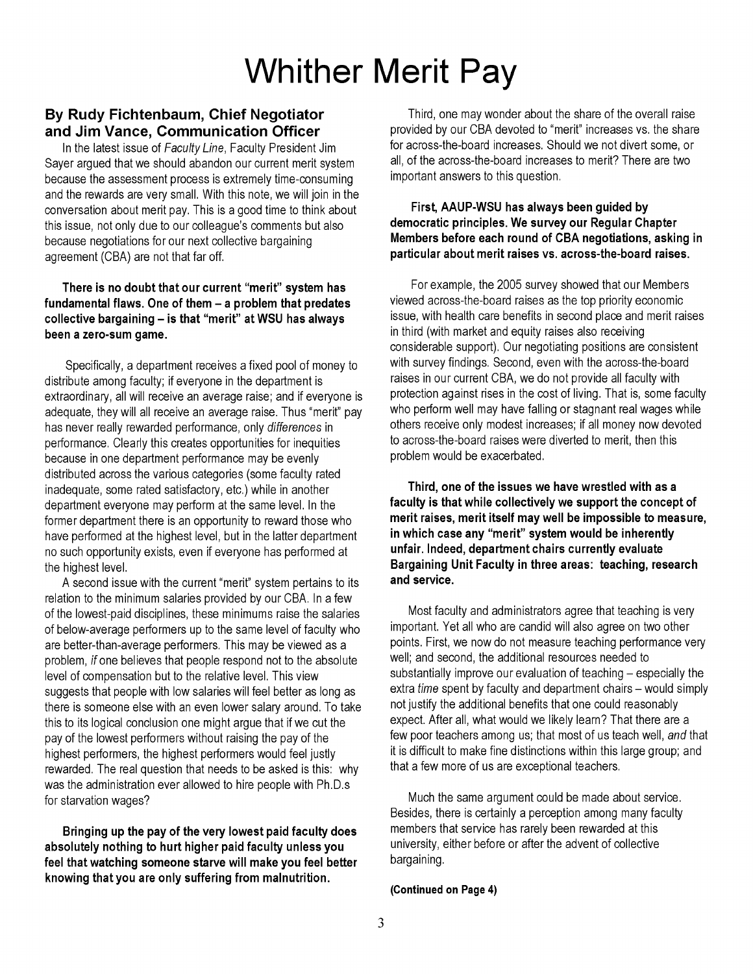# **Whither Merit Pay**

#### **By Rudy Fichtenbaum, Chief Negotiator and Jim Vance, Communication Officer**

In the latest issue of Faculty Line, Faculty President Jim Sayer argued that we should abandon our current merit system because the assessment process is extremely time-consuming and the rewards are very small. With this note, we will join in the conversation about merit pay. This is a good time to think about this issue, not only due to our colleague's comments but also because negotiations for our next collective bargaining agreement (CBA) are not that far off.

#### **There is no doubt that our current "merit" system has fundamental flaws. One of them - a problem that predates collective bargaining - is that "merit" at WSU has always been a zero-sum game.**

Specifically, a department receives a fixed pool of money to distribute among faculty; if everyone in the department is extraordinary, all will receive an average raise; and if everyone is adequate, they will all receive an average raise. Thus "merit" pay has never really rewarded performance, only differences in performance. Clearly this creates opportunities for inequities because in one department performance may be evenly distributed across the various categories (some faculty rated inadequate, some rated satisfactory, etc.) while in another department everyone may perform at the same level. In the former department there is an opportunity to reward those who have performed at the highest level, but in the latter department no such opportunity exists, even if everyone has performed at the highest level.

A second issue with the current "merit" system pertains to its relation to the minimum salaries provided by our CBA. In a few of the lowest-paid disciplines, these minimums raise the salaries of below-average performers up to the same level of faculty who are better-than-average performers. This may be viewed as a problem, if one believes that people respond not to the absolute level of compensation but to the relative level. This view suggests that people with low salaries will feel better as long as there is someone else with an even lower salary around. To take this to its logical conclusion one might argue that if we cut the pay of the lowest performers without raising the pay of the highest performers, the highest performers would feel justly rewarded. The real question that needs to be asked is this: why was the administration ever allowed to hire people with Ph.D.s for starvation wages?

**Bringing up the pay of the very lowest paid faculty does absolutely nothing to hurt higher paid faculty unless you feel that watching someone starve will make you feel better knowing that you are only suffering from malnutrition.** 

Third, one may wonder about the share of the overall raise provided by our CBA devoted to "merit" increases vs. the share for across-the-board increases. Should we not divert some, or all, of the across-the-board increases to merit? There are two important answers to this question.

#### **First, AAUP-WSU has always been guided by democratic principles. We survey our Regular Chapter Members before each round of CBA negotiations, asking in particular about merit raises vs. across-the-board raises.**

For example, the 2005 survey showed that our Members viewed across-the-board raises as the top priority economic issue, with health care benefits in second place and merit raises in third (with market and equity raises also receiving considerable support). Our negotiating positions are consistent with survey findings. Second, even with the across-the-board raises in our current CBA, we do not provide all faculty with protection against rises in the cost of living. That is, some faculty who perform well may have falling or stagnant real wages while others receive only modest increases; if all money now devoted to across-the-board raises were diverted to merit, then this problem would be exacerbated.

**Third, one of the issues we have wrestled with as a faculty is that while collectively we support the concept of merit raises, merit itself may well be impossible to measure, in which case any "merit" system would be inherently unfair. Indeed, department chairs currently evaluate Bargaining Unit Faculty in three areas: teaching, research and service.** 

Most faculty and administrators agree that teaching is very important. Yet all who are candid will also agree on two other points. First, we now do not measure teaching performance very well; and second, the additional resources needed to substantially improve our evaluation of teaching – especially the extra *time* spent by faculty and department chairs - would simply not justify the additional benefits that one could reasonably expect. After all, what would we likely learn? That there are a few poor teachers among us; that most of us teach well, and that it is difficult to make fine distinctions within this large group; and that a few more of us are exceptional teachers.

Much the same argument could be made about service. Besides, there is certainly a perception among many faculty members that service has rarely been rewarded at this university, either before or after the advent of collective bargaining.

#### **(Continued on Page 4)**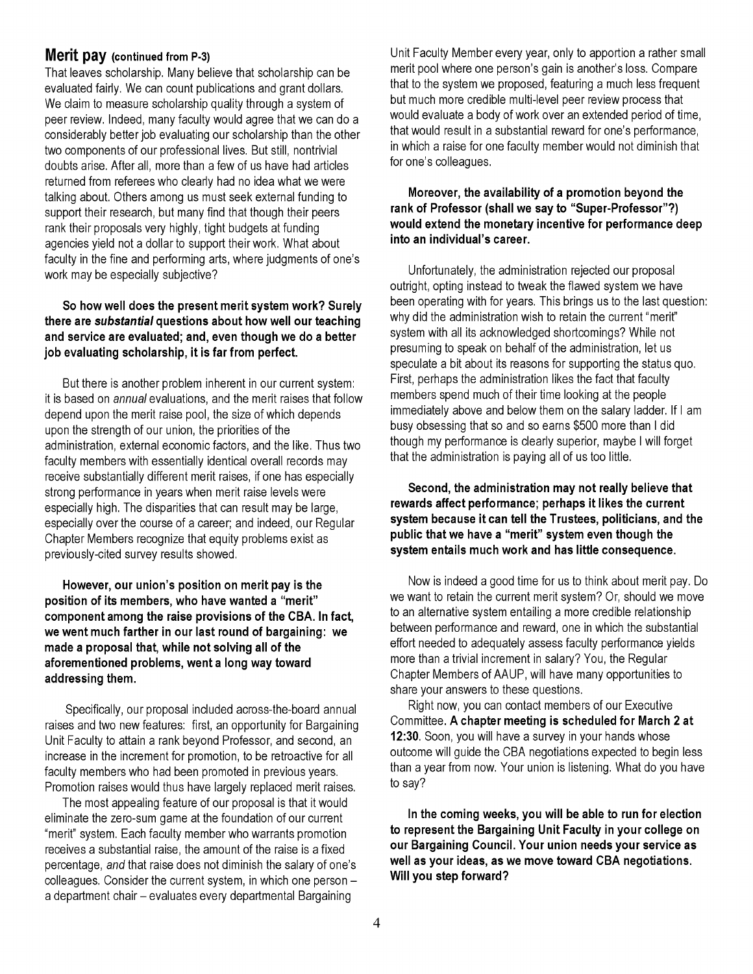#### **Merit pay (continued from P-3)**

That leaves scholarship. Many believe that scholarship can be evaluated fairly. We can count publications and grant dollars. We claim to measure scholarship quality through a system of peer review. Indeed, many faculty would agree that we can do a considerably better job evaluating our scholarship than the other two components of our professional lives. But still, nontrivial doubts arise. After all, more than a few of us have had articles returned from referees who clearly had no idea what we were talking about. Others among us must seek external funding to support their research, but many find that though their peers rank their proposals very highly, tight budgets at funding agencies yield not a dollar to support their work. What about faculty in the fine and performing arts, where judgments of one's work may be especially subjective?

#### **So how well does the present merit system work? Surely there are substantial questions about how well our teaching and service are evaluated; and, even though we do a better job evaluating scholarship, it is far from perfect.**

But there is another problem inherent in our current system: it is based on annual evaluations, and the merit raises that follow depend upon the merit raise pool, the size of which depends upon the strength of our union, the priorities of the administration, external economic factors, and the like. Thus two faculty members with essentially identical overall records may receive substantially different merit raises, if one has especially strong performance in years when merit raise levels were especially high. The disparities that can result may be large, especially over the course of a career; and indeed, our Regular Chapter Members recognize that equity problems exist as previously-cited survey results showed.

**However, our union's position on merit pay is the position of its members, who have wanted a "merit" component among the raise provisions of the CBA. In fact, we went much farther in our last round of bargaining: we made a proposal that, while not solving all of the aforementioned problems, went a long way toward addressing them.** 

Specifically, our proposal included across-the-board annual raises and two new features: first, an opportunity for Bargaining Unit Faculty to attain a rank beyond Professor, and second, an increase in the increment for promotion, to be retroactive for all faculty members who had been promoted in previous years. Promotion raises would thus have largely replaced merit raises.

The most appealing feature of our proposal is that it would eliminate the zero-sum game at the foundation of our current "merit" system. Each faculty member who warrants promotion receives a substantial raise, the amount of the raise is a fixed percentage, and that raise does not diminish the salary of one's colleagues. Consider the current system, in which one person a department chair - evaluates every departmental Bargaining

Unit Faculty Member every year, only to apportion a rather small merit pool where one person's gain is another's loss. Compare that to the system we proposed, featuring a much less frequent but much more credible multi-level peer review process that would evaluate a body of work over an extended period of time, that would result in a substantial reward for one's performance, in which a raise for one faculty member would not diminish that for one's colleagues.

#### **Moreover, the availability of a promotion beyond the rank of Professor (shall we say to "Super-Professor"?) would extend the monetary incentive for performance deep into an individual's career.**

Unfortunately, the administration rejected our proposal outright, opting instead to tweak the flawed system we have been operating with for years. This brings us to the last question: why did the administration wish to retain the current "merit" system with all its acknowledged shortcomings? While not presuming to speak on behalf of the administration, let us speculate a bit about its reasons for supporting the status quo. First, perhaps the administration likes the fact that faculty members spend much of their time looking at the people immediately above and below them on the salary ladder. If I am busy obsessing that so and so earns \$500 more than I did though my performance is clearly superior, maybe I will forget that the administration is paying all of us too little.

#### **Second, the administration may not really believe that rewards affect performance; perhaps it likes the current system because it can tell the Trustees, politicians, and the public that we have a "merit" system even though the system entails much work and has little consequence.**

Now is indeed a good time for us to think about merit pay. Do we want to retain the current merit system? Or, should we move to an alternative system entailing a more credible relationship between performance and reward, one in which the substantial effort needed to adequately assess faculty performance yields more than a trivial increment in salary? You, the Regular Chapter Members of AAUP, will have many opportunities to share your answers to these questions.

Right now, you can contact members of our Executive Committee. **A chapter meeting is scheduled for March 2 at 12:30.** Soon, you will have a survey in your hands whose outcome will guide the CBA negotiations expected to begin less than a year from now. Your union is listening. What do you have to say?

**In the coming weeks, you will be able to run for election to represent the Bargaining Unit Faculty in your college on our Bargaining Council. Your union needs your service as well as your ideas, as we move toward CBA negotiations. Will you step forward?**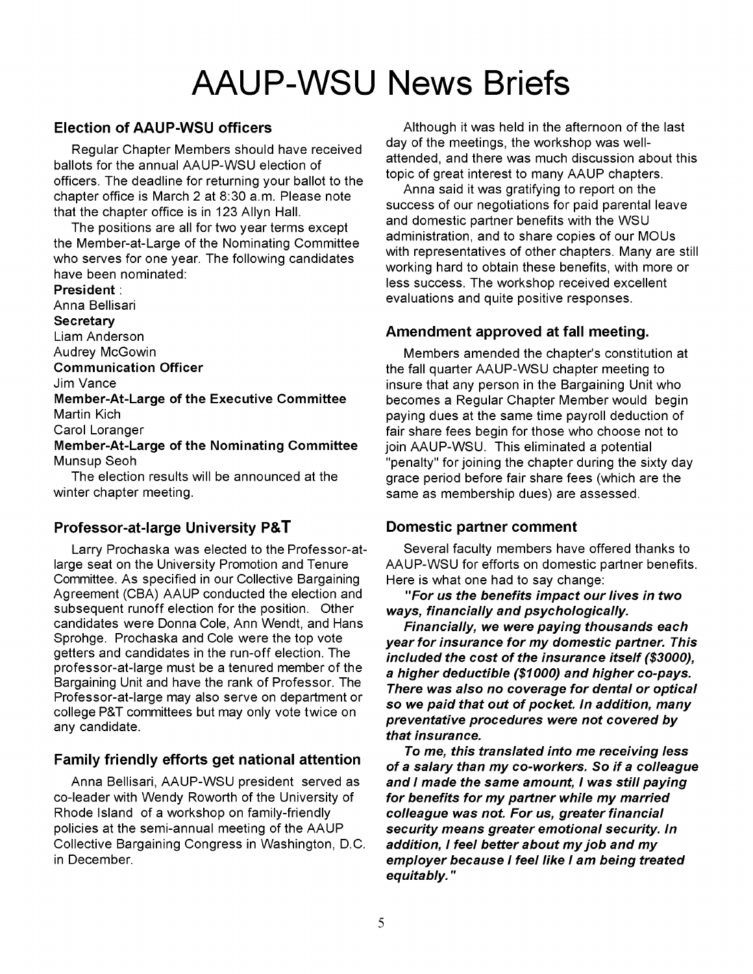# AAUP-WSU **News Briefs**

#### Election of AAUP-WSU officers

Regular Chapter Members should have received ballots for the annual AAUP-WSU election of officers. The deadline for returning your ballot to the chapter office is March 2 at 8:30 a.m. Please note that the chapter office is in 123 Allyn Hall.

The positions are all for two year terms except the Member-at-Large of the Nominating Committee who serves for one year. The following candidates have been nominated:

President: Anna Bellisari **Secretary** Liam Anderson Audrey McGowin Communication Officer Jim Vance Member-At-Large of the Executive Committee Martin Kich Carol Loranger Member-At-Large of the Nominating Committee Munsup Seoh

The election results will be announced at the winter chapter meeting.

#### Professor-at-Iarge University P&T

Larry Prochaska was elected to the Professor-atlarge seat on the University Promotion and Tenure Committee. As specified in our Collective Bargaining Agreement (CBA) AAUP conducted the election and subsequent runoff election for the position. Other candidates were Donna Cole, Ann Wendt, and Hans Sprohge. Prochaska and Cole were the top vote getters and candidates in the run-off election. The professor-at-Iarge must be a tenured member of the Bargaining Unit and have the rank of Professor. The Professor-at-Iarge may also serve on department or college P&T committees but may only vote twice on any candidate.

#### Family friendly efforts get national attention

Anna Bellisari, AAUP-WSU president served as co-leader with Wendy Roworth of the University of Rhode Island of a workshop on family-friendly policies at the semi-annual meeting of the AAUP Collective Bargaining Congress in Washington, D.C. in December.

Although it was held in the afternoon of the last day of the meetings, the workshop was wellattended, and there was much discussion about this topic of great interest to many AAUP chapters.

Anna said it was gratifying to report on the success of our negotiations for paid parental leave and domestic partner benefits with the WSU administration, and to share copies of our MOUs with representatives of other chapters. Many are still working hard to obtain these benefits, with more or less success. The workshop received excellent evaluations and quite positive responses.

#### Amendment approved at fall meeting.

Members amended the chapter's constitution at the fall quarter AAUP-WSU chapter meeting to insure that any person in the Bargaining Unit who becomes a Regular Chapter Member would begin paying dues at the same time payroll deduction of fair share fees begin for those who choose not to join AAUP-WSU. This eliminated a potential "penalty" for joining the chapter during the sixty day grace period before fair share fees (which are the same as membership dues) are assessed.

#### Domestic partner comment

Several faculty members have offered thanks to AAUP-WSU for efforts on domestic partner benefits. Here is what one had to say change:

"For us the benefits impact our lives in two ways, financially and psychologically.

Financially, we were paying thousands each year for insurance for my domestic partner. This included the cost of the insurance itself (\$3000), a higher deductible (\$1000) and higher co-pays. There was also no coverage for dental or optical so we paid that out of pocket. In addition, many preventative procedures were not covered by that insurance.

To me, this translated into me receiving less of a salary than my co-workers. So if a colleague and I made the same amount, I was still paying for benefits for my partner while my married colleague was not. For us, greater financial security means greater emotional security. In addition, I feel better about my job and my employer because I feel like I am being treated equitably. "